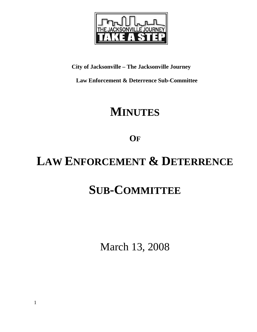

## **City of Jacksonville – The Jacksonville Journey**

 **Law Enforcement & Deterrence Sub-Committee** 

# **MINUTES**

**OF**

# **LAW ENFORCEMENT & DETERRENCE**

# **SUB-COMMITTEE**

March 13, 2008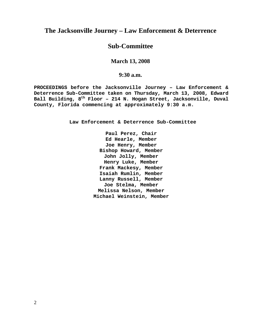### **The Jacksonville Journey – Law Enforcement & Deterrence**

### **Sub-Committee**

#### **March 13, 2008**

#### **9:30 a.m.**

**PROCEEDINGS before the Jacksonville Journey – Law Enforcement & Deterrence Sub-Committee taken on Thursday, March 13, 2008, Edward Ball Building, 8th Floor – 214 N. Hogan Street, Jacksonville, Duval County, Florida commencing at approximately 9:30 a.m.** 

**Law Enforcement & Deterrence Sub-Committee** 

**Paul Perez, Chair Ed Hearle, Member Joe Henry, Member Bishop Howard, Member John Jolly, Member Henry Luke, Member Frank Mackesy, Member Isaiah Rumlin, Member Lanny Russell, Member Joe Stelma, Member Melissa Nelson, Member Michael Weinstein, Member**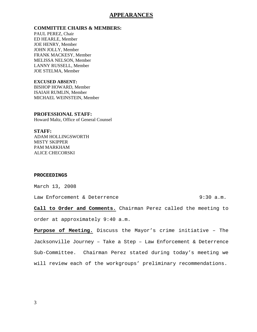#### **APPEARANCES**

**COMMITTEE CHAIRS & MEMBERS:**

PAUL PEREZ, Chair ED HEARLE, Member JOE HENRY, Member JOHN JOLLY, Member FRANK MACKESY, Member MELISSA NELSON, Member LANNY RUSSELL, Member JOE STELMA, Member

**EXCUSED ABSENT:**  BISHOP HOWARD, Member ISAIAH RUMLIN, Member MICHAEL WEINSTEIN, Member

**PROFESSIONAL STAFF:**  Howard Maltz, Office of General Counsel

**STAFF:**  ADAM HOLLINGSWORTH MISTY SKIPPER PAM MARKHAM ALICE CHECORSKI

#### **PROCEEDINGS**

March 13, 2008

Law Enforcement & Deterrence  $\qquad \qquad 9:30 \text{ a.m.}$ 

**Call to Order and Comments.** Chairman Perez called the meeting to

order at approximately 9:40 a.m.

**Purpose of Meeting.** Discuss the Mayor's crime initiative – The Jacksonville Journey – Take a Step – Law Enforcement & Deterrence Sub-Committee. Chairman Perez stated during today's meeting we will review each of the workgroups' preliminary recommendations.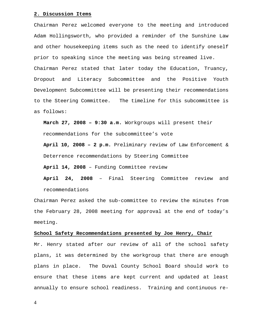#### **2. Discussion Items**

Chairman Perez welcomed everyone to the meeting and introduced Adam Hollingsworth, who provided a reminder of the Sunshine Law and other housekeeping items such as the need to identify oneself prior to speaking since the meeting was being streamed live. Chairman Perez stated that later today the Education, Truancy, Dropout and Literacy Subcommittee and the Positive Youth Development Subcommittee will be presenting their recommendations to the Steering Committee. The timeline for this subcommittee is as follows:

**March 27, 2008 – 9:30 a.m.** Workgroups will present their recommendations for the subcommittee's vote

**April 10, 2008 – 2 p.m.** Preliminary review of Law Enforcement & Deterrence recommendations by Steering Committee

**April 14, 2008** – Funding Committee review

**April 24, 2008** – Final Steering Committee review and recommendations

Chairman Perez asked the sub-committee to review the minutes from the February 28, 2008 meeting for approval at the end of today's meeting.

#### **School Safety Recommendations presented by Joe Henry, Chair**

Mr. Henry stated after our review of all of the school safety plans, it was determined by the workgroup that there are enough plans in place. The Duval County School Board should work to ensure that these items are kept current and updated at least annually to ensure school readiness. Training and continuous re-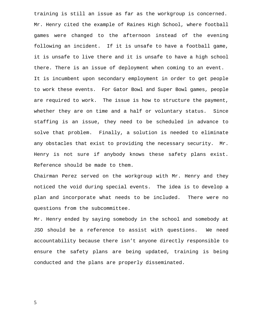training is still an issue as far as the workgroup is concerned. Mr. Henry cited the example of Raines High School, where football games were changed to the afternoon instead of the evening following an incident. If it is unsafe to have a football game, it is unsafe to live there and it is unsafe to have a high school there. There is an issue of deployment when coming to an event. It is incumbent upon secondary employment in order to get people to work these events. For Gator Bowl and Super Bowl games, people are required to work. The issue is how to structure the payment, whether they are on time and a half or voluntary status. Since staffing is an issue, they need to be scheduled in advance to solve that problem. Finally, a solution is needed to eliminate any obstacles that exist to providing the necessary security. Mr. Henry is not sure if anybody knows these safety plans exist. Reference should be made to them.

Chairman Perez served on the workgroup with Mr. Henry and they noticed the void during special events. The idea is to develop a plan and incorporate what needs to be included. There were no questions from the subcommittee.

Mr. Henry ended by saying somebody in the school and somebody at JSO should be a reference to assist with questions. We need accountability because there isn't anyone directly responsible to ensure the safety plans are being updated, training is being conducted and the plans are properly disseminated.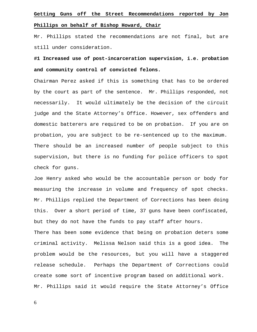## **Getting Guns off the Street Recommendations reported by Jon Phillips on behalf of Bishop Howard, Chair**

Mr. Phillips stated the recommendations are not final, but are still under consideration.

## **#1 Increased use of post-incarceration supervision, i.e. probation and community control of convicted felons.**

Chairman Perez asked if this is something that has to be ordered by the court as part of the sentence. Mr. Phillips responded, not necessarily. It would ultimately be the decision of the circuit judge and the State Attorney's Office. However, sex offenders and domestic batterers are required to be on probation. If you are on probation, you are subject to be re-sentenced up to the maximum. There should be an increased number of people subject to this supervision, but there is no funding for police officers to spot check for guns.

Joe Henry asked who would be the accountable person or body for measuring the increase in volume and frequency of spot checks. Mr. Phillips replied the Department of Corrections has been doing this. Over a short period of time, 37 guns have been confiscated, but they do not have the funds to pay staff after hours. There has been some evidence that being on probation deters some

criminal activity. Melissa Nelson said this is a good idea. The problem would be the resources, but you will have a staggered release schedule. Perhaps the Department of Corrections could create some sort of incentive program based on additional work. Mr. Phillips said it would require the State Attorney's Office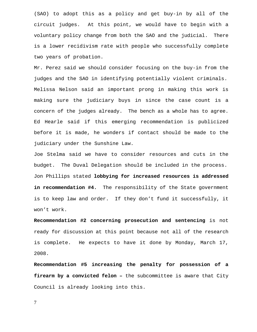(SAO) to adopt this as a policy and get buy-in by all of the circuit judges. At this point, we would have to begin with a voluntary policy change from both the SAO and the judicial. There is a lower recidivism rate with people who successfully complete two years of probation.

Mr. Perez said we should consider focusing on the buy-in from the judges and the SAO in identifying potentially violent criminals. Melissa Nelson said an important prong in making this work is making sure the judiciary buys in since the case count is a concern of the judges already. The bench as a whole has to agree. Ed Hearle said if this emerging recommendation is publicized before it is made, he wonders if contact should be made to the judiciary under the Sunshine Law.

Joe Stelma said we have to consider resources and cuts in the budget. The Duval Delegation should be included in the process. Jon Phillips stated **lobbying for increased resources is addressed**  in recommendation #4. The responsibility of the State government is to keep law and order. If they don't fund it successfully, it won't work.

**Recommendation #2 concerning prosecution and sentencing** is not ready for discussion at this point because not all of the research is complete. He expects to have it done by Monday, March 17, 2008.

**Recommendation #5 increasing the penalty for possession of a firearm by a convicted felon –** the subcommittee is aware that City Council is already looking into this.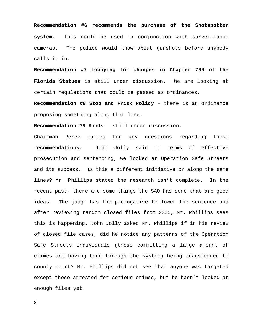**Recommendation #6 recommends the purchase of the Shotspotter system.** This could be used in conjunction with surveillance cameras. The police would know about gunshots before anybody calls it in.

**Recommendation #7 lobbying for changes in Chapter 790 of the Florida Statues** is still under discussion. We are looking at certain regulations that could be passed as ordinances.

**Recommendation #8 Stop and Frisk Policy** – there is an ordinance proposing something along that line.

**Recommendation #9 Bonds –** still under discussion.

Chairman Perez called for any questions regarding these recommendations. John Jolly said in terms of effective prosecution and sentencing, we looked at Operation Safe Streets and its success. Is this a different initiative or along the same lines? Mr. Phillips stated the research isn't complete. In the recent past, there are some things the SAO has done that are good ideas. The judge has the prerogative to lower the sentence and after reviewing random closed files from 2005, Mr. Phillips sees this is happening. John Jolly asked Mr. Phillips if in his review of closed file cases, did he notice any patterns of the Operation Safe Streets individuals (those committing a large amount of crimes and having been through the system) being transferred to county court? Mr. Phillips did not see that anyone was targeted except those arrested for serious crimes, but he hasn't looked at enough files yet.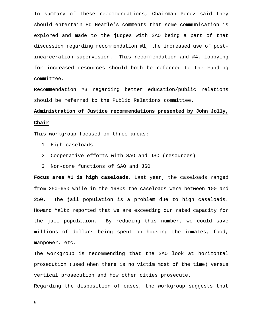In summary of these recommendations, Chairman Perez said they should entertain Ed Hearle's comments that some communication is explored and made to the judges with SAO being a part of that discussion regarding recommendation #1, the increased use of postincarceration supervision. This recommendation and #4, lobbying for increased resources should both be referred to the Funding committee.

Recommendation #3 regarding better education/public relations should be referred to the Public Relations committee.

## **Administration of Justice recommendations presented by John Jolly, Chair**

This workgroup focused on three areas:

- 1. High caseloads
- 2. Cooperative efforts with SAO and JSO (resources)
- 3. Non-core functions of SAO and JSO

**Focus area #1 is high caseloads**. Last year, the caseloads ranged from 250-650 while in the 1980s the caseloads were between 100 and 250. The jail population is a problem due to high caseloads. Howard Maltz reported that we are exceeding our rated capacity for the jail population. By reducing this number, we could save millions of dollars being spent on housing the inmates, food, manpower, etc.

The workgroup is recommending that the SAO look at horizontal prosecution (used when there is no victim most of the time) versus vertical prosecution and how other cities prosecute.

Regarding the disposition of cases, the workgroup suggests that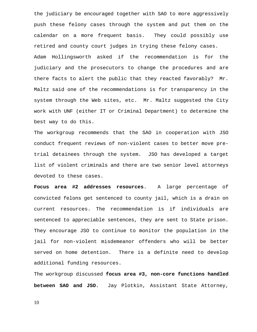the judiciary be encouraged together with SAO to more aggressively push these felony cases through the system and put them on the calendar on a more frequent basis. They could possibly use retired and county court judges in trying these felony cases. Adam Hollingsworth asked if the recommendation is for the judiciary and the prosecutors to change the procedures and are there facts to alert the public that they reacted favorably? Mr. Maltz said one of the recommendations is for transparency in the system through the Web sites, etc. Mr. Maltz suggested the City work with UNF (either IT or Criminal Department) to determine the best way to do this.

The workgroup recommends that the SAO in cooperation with JSO conduct frequent reviews of non-violent cases to better move pretrial detainees through the system. JSO has developed a target list of violent criminals and there are two senior level attorneys devoted to these cases.

**Focus area #2 addresses resources**. A large percentage of convicted felons get sentenced to county jail, which is a drain on current resources. The recommendation is if individuals are sentenced to appreciable sentences, they are sent to State prison. They encourage JSO to continue to monitor the population in the jail for non-violent misdemeanor offenders who will be better served on home detention. There is a definite need to develop additional funding resources.

The workgroup discussed **focus area #3, non-core functions handled between SAO and JSO.** Jay Plotkin, Assistant State Attorney,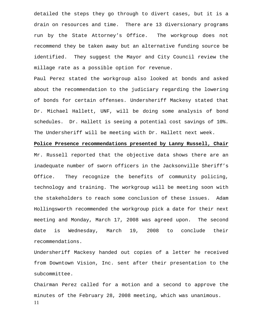detailed the steps they go through to divert cases, but it is a drain on resources and time. There are 13 diversionary programs run by the State Attorney's Office. The workgroup does not recommend they be taken away but an alternative funding source be identified. They suggest the Mayor and City Council review the millage rate as a possible option for revenue.

Paul Perez stated the workgroup also looked at bonds and asked about the recommendation to the judiciary regarding the lowering of bonds for certain offenses. Undersheriff Mackesy stated that Dr. Michael Hallett, UNF, will be doing some analysis of bond schedules. Dr. Hallett is seeing a potential cost savings of 10%. The Undersheriff will be meeting with Dr. Hallett next week.

**Police Presence recommendations presented by Lanny Russell, Chair** Mr. Russell reported that the objective data shows there are an inadequate number of sworn officers in the Jacksonville Sheriff's Office. They recognize the benefits of community policing, technology and training. The workgroup will be meeting soon with the stakeholders to reach some conclusion of these issues. Adam Hollingsworth recommended the workgroup pick a date for their next meeting and Monday, March 17, 2008 was agreed upon. The second date is Wednesday, March 19, 2008 to conclude their recommendations.

Undersheriff Mackesy handed out copies of a letter he received from Downtown Vision, Inc. sent after their presentation to the subcommittee.

11 Chairman Perez called for a motion and a second to approve the minutes of the February 28, 2008 meeting, which was unanimous.